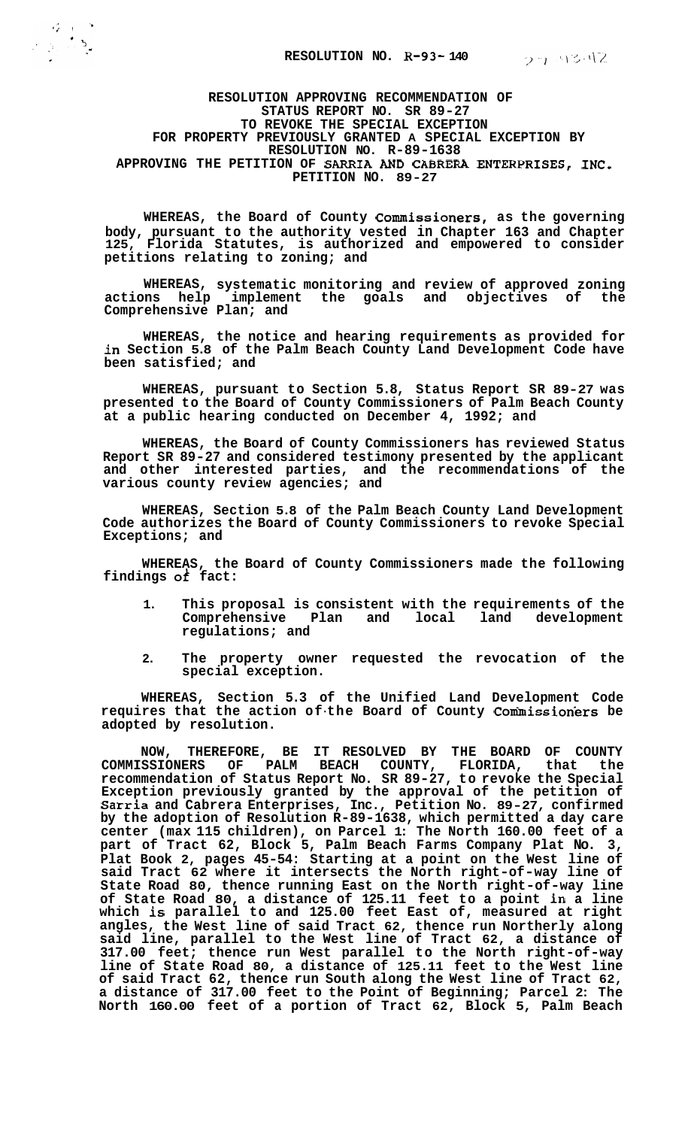**RESOLUTION APPROVING RECOMMENDATION OF STATUS REPORT NO. SR 89-27 TO REVOKE THE SPECIAL EXCEPTION RESOLUTION NO. R-89-1638**  APPROVING THE PETITION OF SARRIA AND CABRERA ENTERPRISES, INC. **PETITION NO. 89-27 FOR PROPERTY PREVIOUSLY GRANTED A SPECIAL EXCEPTION BY** 

**WHEREAS, the Board of County Commissioners, as the governing body, pursuant to the authority vested in Chapter 163 and Chapter**  Florida Statutes, is authorized and empowered to consider **petitions relating to zoning; and** 

**WHEREAS, systematic monitoring and review of approved zoning actions help implement the goals and objectives of the Comprehensive Plan; and** 

**WHEREAS, the notice and hearing requirements as provided for in Section 5.8 of the Palm Beach County Land Development Code have been satisfied; and** 

**WHEREAS, pursuant to Section 5.8, Status Report SR 89-27 was presented to the Board of County Commissioners of Palm Beach County at a public hearing conducted on December 4, 1992; and** 

**WHEREAS, the Board of County Commissioners has reviewed Status Report SR 89-27 and considered testimony presented by the applicant and other interested parties, and the recommendations of the various county review agencies; and** 

**WHEREAS, Section 5.8 of the Palm Beach County Land Development Code authorizes the Board of County Commissioners to revoke Special Exceptions; and** 

**WHEREAS, the Board of County Commissioners made the following findings** *ok* **fact:** 

- **1. This proposal is consistent with the requirements of the**  Comprehensive Plan and local land **regulations; and**
- **2. The property owner requested the revocation of the special exception.**

**WHEREAS, Section 5.3 of the Unified Land Development Code requires that the action of-the Board of County Conhissioners be adopted by resolution.** 

**NOW, THEREFORE, BE IT RESOLVED BY THE BOARD OF COUNTY COMMISSIONERS OF PALM BEACH COUNTY, FLORIDA, that the recommendation of Status Report No. SR 89-27, to revoke the Special Exception previously granted by the approval of the petition of Sarria and Cabrera Enterprises, Inc., Petition No. 89-27, confirmed by the adoption of Resolution R-89-1638, which permitted a day care center (max 115 children), on Parcel 1: The North 160.00 feet of a part of Tract 62, Block 5, Palm Beach Farms Company Plat No. 3, Plat Book 2, pages 45-54: Starting at a point on the West line of said Tract 62 where it intersects the North right-of-way line of State Road 80, thence running East on the North right-of-way line of State Road 80, a distance of 125.11 feet to a point in a line which is parallel to and 125.00 feet East of, measured at right angles, the West line of said Tract 62, thence run Northerly along said line, parallel to the West line of Tract 62, a distance of 317.00 feet; thence run West parallel to the North right-of-way line of State Road 80, a distance of 125.11 feet to the West line of said Tract 62, thence run South along the West line of Tract 62, a distance of 317.00 feet to the Point of Beginning; Parcel 2: The North 160.00 feet of a portion of Tract 62, Block 5, Palm Beach**